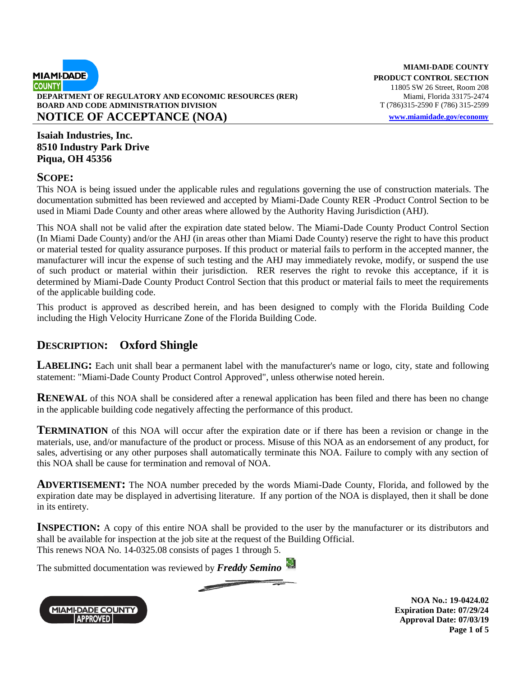

**MIAMI-DADE COUNTY PRODUCT CONTROL SECTION**  11805 SW 26 Street, Room 208

**Isaiah Industries, Inc. 8510 Industry Park Drive Piqua, OH 45356**

#### **SCOPE:**

This NOA is being issued under the applicable rules and regulations governing the use of construction materials. The documentation submitted has been reviewed and accepted by Miami-Dade County RER -Product Control Section to be used in Miami Dade County and other areas where allowed by the Authority Having Jurisdiction (AHJ).

This NOA shall not be valid after the expiration date stated below. The Miami-Dade County Product Control Section (In Miami Dade County) and/or the AHJ (in areas other than Miami Dade County) reserve the right to have this product or material tested for quality assurance purposes. If this product or material fails to perform in the accepted manner, the manufacturer will incur the expense of such testing and the AHJ may immediately revoke, modify, or suspend the use of such product or material within their jurisdiction. RER reserves the right to revoke this acceptance, if it is determined by Miami-Dade County Product Control Section that this product or material fails to meet the requirements of the applicable building code.

This product is approved as described herein, and has been designed to comply with the Florida Building Code including the High Velocity Hurricane Zone of the Florida Building Code.

## **DESCRIPTION: Oxford Shingle**

**LABELING:** Each unit shall bear a permanent label with the manufacturer's name or logo, city, state and following statement: "Miami-Dade County Product Control Approved", unless otherwise noted herein.

**RENEWAL** of this NOA shall be considered after a renewal application has been filed and there has been no change in the applicable building code negatively affecting the performance of this product.

**TERMINATION** of this NOA will occur after the expiration date or if there has been a revision or change in the materials, use, and/or manufacture of the product or process. Misuse of this NOA as an endorsement of any product, for sales, advertising or any other purposes shall automatically terminate this NOA. Failure to comply with any section of this NOA shall be cause for termination and removal of NOA.

**ADVERTISEMENT:** The NOA number preceded by the words Miami-Dade County, Florida, and followed by the expiration date may be displayed in advertising literature. If any portion of the NOA is displayed, then it shall be done in its entirety.

**INSPECTION:** A copy of this entire NOA shall be provided to the user by the manufacturer or its distributors and shall be available for inspection at the job site at the request of the Building Official. This renews NOA No. 14-0325.08 consists of pages 1 through 5.

The submitted documentation was reviewed by *Freddy Semino*

*<u>Property</u>* 



**NOA No.: 19-0424.02 Expiration Date: 07/29/24 Approval Date: 07/03/19 Page 1 of 5**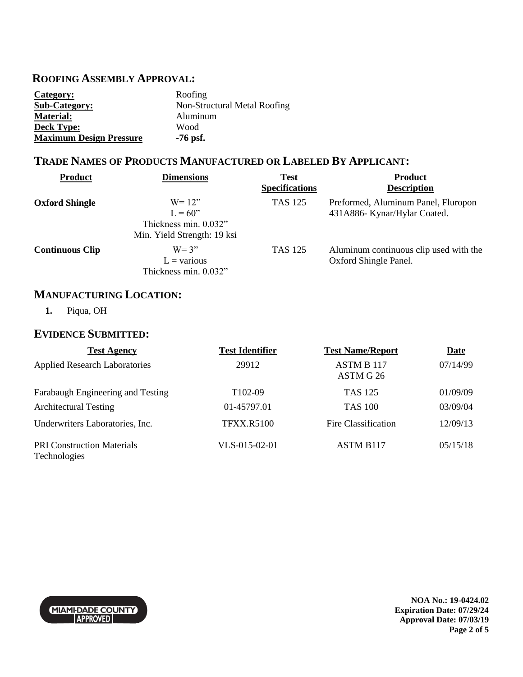### **ROOFING ASSEMBLY APPROVAL:**

| Category:                      | Roofing                      |
|--------------------------------|------------------------------|
| <b>Sub-Category:</b>           | Non-Structural Metal Roofing |
| <b>Material:</b>               | Aluminum                     |
| <b>Deck Type:</b>              | Wood                         |
| <b>Maximum Design Pressure</b> | $-76$ psf.                   |

## **TRADE NAMES OF PRODUCTS MANUFACTURED OR LABELED BY APPLICANT:**

| <b>Product</b>         | <b>Dimensions</b>                                                              | <b>Test</b><br><b>Specifications</b> | <b>Product</b><br><b>Description</b>                                |
|------------------------|--------------------------------------------------------------------------------|--------------------------------------|---------------------------------------------------------------------|
| <b>Oxford Shingle</b>  | $W = 12$<br>$L = 60$ "<br>Thickness min. 0.032"<br>Min. Yield Strength: 19 ksi | <b>TAS 125</b>                       | Preformed, Aluminum Panel, Fluropon<br>431A886- Kynar/Hylar Coated. |
| <b>Continuous Clip</b> | $W = 3"$<br>$L = \text{various}$<br>Thickness min. 0.032"                      | <b>TAS 125</b>                       | Aluminum continuous clip used with the<br>Oxford Shingle Panel.     |

## **MANUFACTURING LOCATION:**

**1.** Piqua, OH

## **EVIDENCE SUBMITTED:**

| <b>Test Agency</b>                                | <b>Test Identifier</b> | <b>Test Name/Report</b>        | <b>Date</b> |
|---------------------------------------------------|------------------------|--------------------------------|-------------|
| <b>Applied Research Laboratories</b>              | 29912                  | <b>ASTM B 117</b><br>ASTM G 26 | 07/14/99    |
| Farabaugh Engineering and Testing                 | T <sub>102</sub> -09   | <b>TAS 125</b>                 | 01/09/09    |
| <b>Architectural Testing</b>                      | 01-45797.01            | <b>TAS 100</b>                 | 03/09/04    |
| Underwriters Laboratories, Inc.                   | <b>TFXX.R5100</b>      | Fire Classification            | 12/09/13    |
| <b>PRI Construction Materials</b><br>Technologies | VLS-015-02-01          | ASTM B <sub>117</sub>          | 05/15/18    |



**NOA No.: 19-0424.02 Expiration Date: 07/29/24 Approval Date: 07/03/19 Page 2 of 5**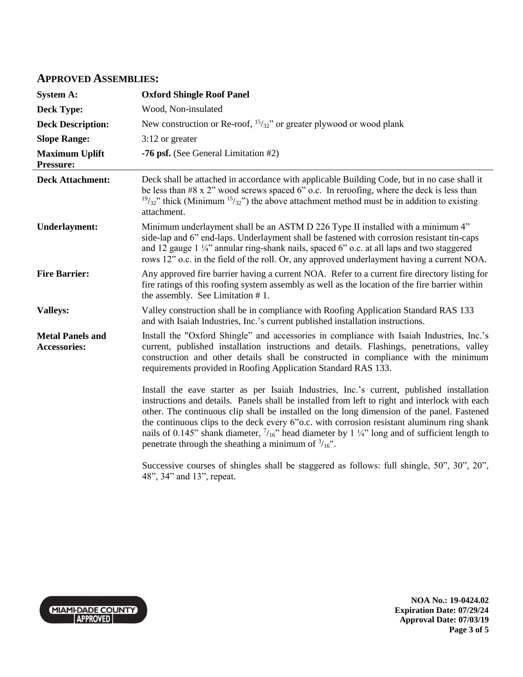#### **APPROVED ASSEMBLIES:**

| <b>System A:</b>                               | <b>Oxford Shingle Roof Panel</b>                                                                                                                                                                                                                                                                                                                                                                                                                                                                                                                                          |
|------------------------------------------------|---------------------------------------------------------------------------------------------------------------------------------------------------------------------------------------------------------------------------------------------------------------------------------------------------------------------------------------------------------------------------------------------------------------------------------------------------------------------------------------------------------------------------------------------------------------------------|
| <b>Deck Type:</b>                              | Wood, Non-insulated                                                                                                                                                                                                                                                                                                                                                                                                                                                                                                                                                       |
| <b>Deck Description:</b>                       | New construction or Re-roof, $\frac{15}{32}$ " or greater plywood or wood plank                                                                                                                                                                                                                                                                                                                                                                                                                                                                                           |
| <b>Slope Range:</b>                            | $3:12$ or greater                                                                                                                                                                                                                                                                                                                                                                                                                                                                                                                                                         |
| <b>Maximum Uplift</b><br>Pressure:             | -76 psf. (See General Limitation #2)                                                                                                                                                                                                                                                                                                                                                                                                                                                                                                                                      |
| <b>Deck Attachment:</b>                        | Deck shall be attached in accordance with applicable Building Code, but in no case shall it<br>be less than #8 x 2" wood screws spaced 6" o.c. In reroofing, where the deck is less than<br>$19/32$ " thick (Minimum $15/32$ ") the above attachment method must be in addition to existing<br>attachment.                                                                                                                                                                                                                                                                |
| <b>Underlayment:</b>                           | Minimum underlayment shall be an ASTM D 226 Type II installed with a minimum 4"<br>side-lap and 6" end-laps. Underlayment shall be fastened with corrosion resistant tin-caps<br>and 12 gauge 1 1/4" annular ring-shank nails, spaced 6" o.c. at all laps and two staggered<br>rows 12" o.c. in the field of the roll. Or, any approved underlayment having a current NOA.                                                                                                                                                                                                |
| <b>Fire Barrier:</b>                           | Any approved fire barrier having a current NOA. Refer to a current fire directory listing for<br>fire ratings of this roofing system assembly as well as the location of the fire barrier within<br>the assembly. See Limitation $# 1$ .                                                                                                                                                                                                                                                                                                                                  |
| <b>Valleys:</b>                                | Valley construction shall be in compliance with Roofing Application Standard RAS 133<br>and with Isaiah Industries, Inc.'s current published installation instructions.                                                                                                                                                                                                                                                                                                                                                                                                   |
| <b>Metal Panels and</b><br><b>Accessories:</b> | Install the "Oxford Shingle" and accessories in compliance with Isaiah Industries, Inc.'s<br>current, published installation instructions and details. Flashings, penetrations, valley<br>construction and other details shall be constructed in compliance with the minimum<br>requirements provided in Roofing Application Standard RAS 133.                                                                                                                                                                                                                            |
|                                                | Install the eave starter as per Isaiah Industries, Inc.'s current, published installation<br>instructions and details. Panels shall be installed from left to right and interlock with each<br>other. The continuous clip shall be installed on the long dimension of the panel. Fastened<br>the continuous clips to the deck every 6"o.c. with corrosion resistant aluminum ring shank<br>nails of 0.145" shank diameter, $7/16$ " head diameter by 1 $\frac{1}{4}$ " long and of sufficient length to<br>penetrate through the sheathing a minimum of $\frac{3}{16}$ ". |
|                                                | Successive courses of shingles shall be staggered as follows: full shingle, 50", 30", 20",<br>48", 34" and 13", repeat.                                                                                                                                                                                                                                                                                                                                                                                                                                                   |



**NOA No.: 19-0424.02 Expiration Date: 07/29/24 Approval Date: 07/03/19 Page 3 of 5**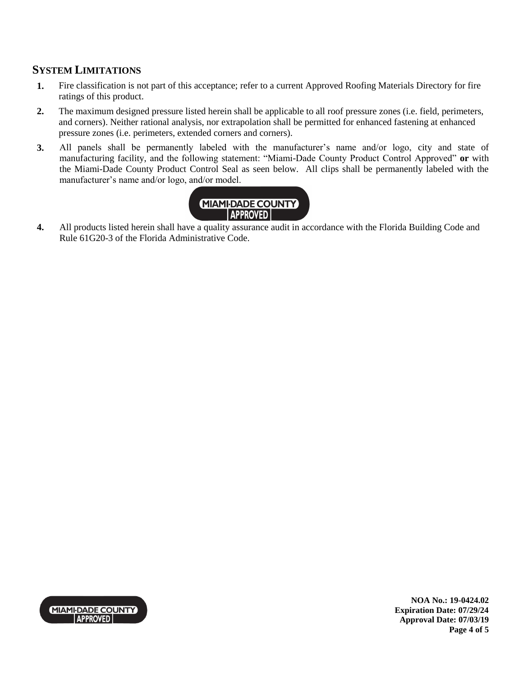# **SYSTEM LIMITATIONS**

- **1.** Fire classification is not part of this acceptance; refer to a current Approved Roofing Materials Directory for fire ratings of this product.
- **2.** The maximum designed pressure listed herein shall be applicable to all roof pressure zones (i.e. field, perimeters, and corners). Neither rational analysis, nor extrapolation shall be permitted for enhanced fastening at enhanced pressure zones (i.e. perimeters, extended corners and corners).
- **3.** All panels shall be permanently labeled with the manufacturer's name and/or logo, city and state of manufacturing facility, and the following statement: "Miami-Dade County Product Control Approved" **or** with the Miami-Dade County Product Control Seal as seen below. All clips shall be permanently labeled with the manufacturer's name and/or logo, and/or model.



**4.** All products listed herein shall have a quality assurance audit in accordance with the Florida Building Code and Rule 61G20-3 of the Florida Administrative Code.